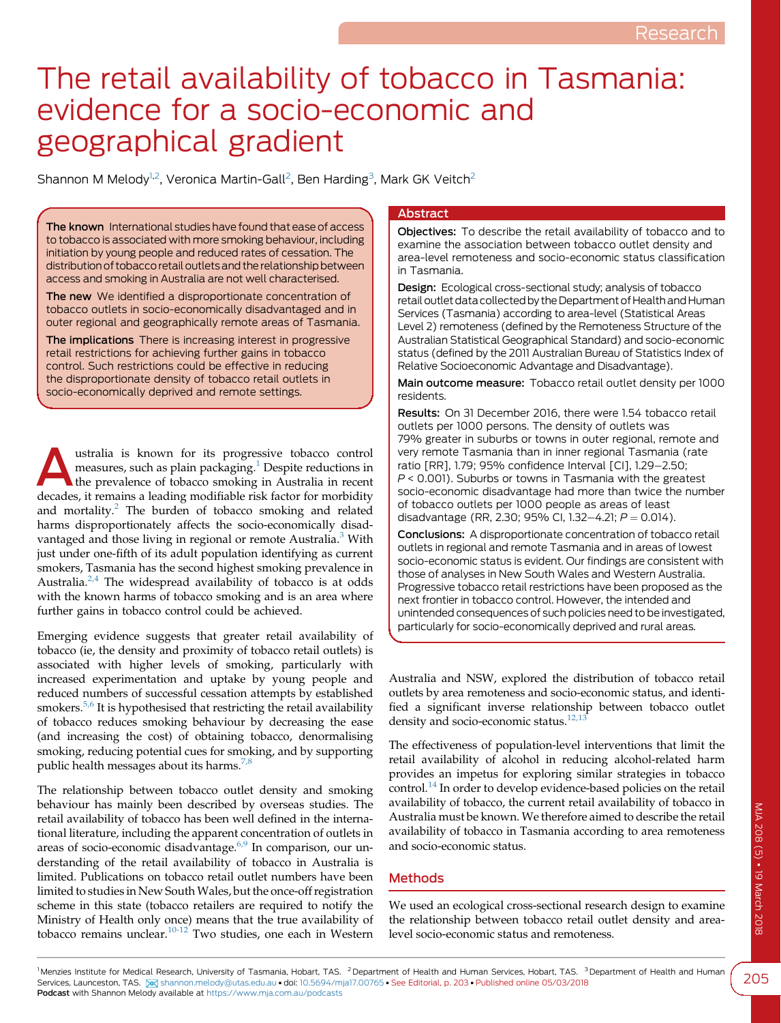# The retail availability of tobacco in Tasmania: evidence for a socio-economic and geographical gradient

Shannon M Melody $^{1,2}$ , Veronica Martin-Gall $^2$ , Ben Harding $^3$ , Mark GK Veitch $^2$ 

The known International studies have found that ease of access to tobacco is associated with more smoking behaviour, including initiation by young people and reduced rates of cessation. The distribution of tobacco retail outlets and the relationship between access and smoking in Australia are not well characterised.

The new We identified a disproportionate concentration of tobacco outlets in socio-economically disadvantaged and in outer regional and geographically remote areas of Tasmania.

The implications There is increasing interest in progressive retail restrictions for achieving further gains in tobacco control. Such restrictions could be effective in reducing the disproportionate density of tobacco retail outlets in socio-economically deprived and remote settings.

ustralia is known for its progressive tobacco control<br>
the prevalence of tobacco smoking in Australia in recent<br>
decedes it remains a locating modified in the factor for modifity ustralia is known for its progressive tobacco control measures, such as plain packaging.<sup>1</sup> Despite reductions in decades, it remains a leading modifiable risk factor for morbidity and mortality.<sup>[2](#page-3-0)</sup> The burden of tobacco smoking and related harms disproportionately affects the socio-economically disad-vantaged and those living in regional or remote Australia.<sup>[3](#page-3-0)</sup> With just under one-fifth of its adult population identifying as current smokers, Tasmania has the second highest smoking prevalence in Australia. $2,4$  The widespread availability of tobacco is at odds with the known harms of tobacco smoking and is an area where further gains in tobacco control could be achieved.

Emerging evidence suggests that greater retail availability of tobacco (ie, the density and proximity of tobacco retail outlets) is associated with higher levels of smoking, particularly with increased experimentation and uptake by young people and reduced numbers of successful cessation attempts by established smokers.<sup>[5,6](#page-3-0)</sup> It is hypothesised that restricting the retail availability of tobacco reduces smoking behaviour by decreasing the ease (and increasing the cost) of obtaining tobacco, denormalising smoking, reducing potential cues for smoking, and by supporting public health messages about its harms.<sup>[7,8](#page-3-0)</sup>

The relationship between tobacco outlet density and smoking behaviour has mainly been described by overseas studies. The retail availability of tobacco has been well defined in the international literature, including the apparent concentration of outlets in areas of socio-economic disadvantage.<sup>[6,9](#page-3-0)</sup> In comparison, our understanding of the retail availability of tobacco in Australia is limited. Publications on tobacco retail outlet numbers have been limited to studies in New South Wales, but the once-off registration scheme in this state (tobacco retailers are required to notify the Ministry of Health only once) means that the true availability of tobacco remains unclear.<sup>[10-12](#page-3-0)</sup> Two studies, one each in Western

# **Abstract**

Objectives: To describe the retail availability of tobacco and to examine the association between tobacco outlet density and area-level remoteness and socio-economic status classification in Tasmania.

Design: Ecological cross-sectional study; analysis of tobacco retail outlet data collected by the Department of Health and Human Services (Tasmania) according to area-level (Statistical Areas Level 2) remoteness (defined by the Remoteness Structure of the Australian Statistical Geographical Standard) and socio-economic status (defined by the 2011 Australian Bureau of Statistics Index of Relative Socioeconomic Advantage and Disadvantage).

Main outcome measure: Tobacco retail outlet density per 1000 residents.

Results: On 31 December 2016, there were 1.54 tobacco retail outlets per 1000 persons. The density of outlets was 79% greater in suburbs or towns in outer regional, remote and very remote Tasmania than in inner regional Tasmania (rate ratio [RR], 1.79; 95% confidence Interval [CI], 1.29-2.50;  $P < 0.001$ ). Suburbs or towns in Tasmania with the greatest socio-economic disadvantage had more than twice the number of tobacco outlets per 1000 people as areas of least disadvantage (RR, 2.30; 95% CI, 1.32-4.21;  $P = 0.014$ ).

Conclusions: A disproportionate concentration of tobacco retail outlets in regional and remote Tasmania and in areas of lowest socio-economic status is evident. Our findings are consistent with those of analyses in New South Wales and Western Australia. Progressive tobacco retail restrictions have been proposed as the next frontier in tobacco control. However, the intended and unintended consequences of such policies need to be investigated, particularly for socio-economically deprived and rural areas.

Australia and NSW, explored the distribution of tobacco retail outlets by area remoteness and socio-economic status, and identified a significant inverse relationship between tobacco outlet density and socio-economic status.<sup>12,1</sup>

The effectiveness of population-level interventions that limit the retail availability of alcohol in reducing alcohol-related harm provides an impetus for exploring similar strategies in tobacco control.<sup>[14](#page-3-0)</sup> In order to develop evidence-based policies on the retail availability of tobacco, the current retail availability of tobacco in Australia must be known. We therefore aimed to describe the retail availability of tobacco in Tasmania according to area remoteness and socio-economic status.

# Methods

We used an ecological cross-sectional research design to examine the relationship between tobacco retail outlet density and arealevel socio-economic status and remoteness.

<sup>1</sup> Menzies Institute for Medical Research, University of Tasmania, Hobart, TAS. <sup>2</sup> Department of Health and Human Services, Hobart, TAS. <sup>3</sup> Department of Health and Human Services, Launceston, TAS. [%] [shannon.melody@utas.edu.au](mailto:shannon.melody@utas.edu.au) · doi: [10.5694/mja17.00765](https://doi.org/10.5694/mja17.00765) · See Editorial, p. 203 · Published online 05/03/2018 Podcast with Shannon Melody available at <https://www.mja.com.au/podcasts>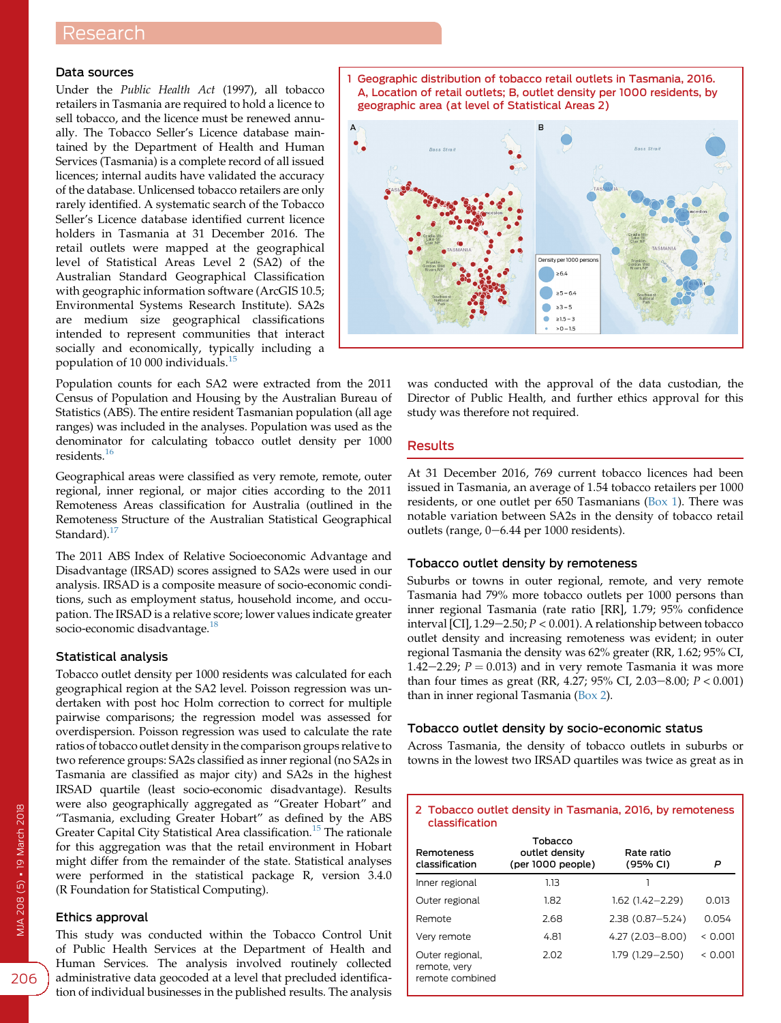# Research

## Data sources

Under the Public Health Act (1997), all tobacco retailers in Tasmania are required to hold a licence to sell tobacco, and the licence must be renewed annually. The Tobacco Seller's Licence database maintained by the Department of Health and Human Services (Tasmania) is a complete record of all issued licences; internal audits have validated the accuracy of the database. Unlicensed tobacco retailers are only rarely identified. A systematic search of the Tobacco Seller's Licence database identified current licence holders in Tasmania at 31 December 2016. The retail outlets were mapped at the geographical level of Statistical Areas Level 2 (SA2) of the Australian Standard Geographical Classification with geographic information software (ArcGIS 10.5; Environmental Systems Research Institute). SA2s are medium size geographical classifications intended to represent communities that interact socially and economically, typically including a population of 10 000 individuals.[15](#page-3-0)

Population counts for each SA2 were extracted from the 2011 Census of Population and Housing by the Australian Bureau of Statistics (ABS). The entire resident Tasmanian population (all age ranges) was included in the analyses. Population was used as the denominator for calculating tobacco outlet density per 1000 residents.[16](#page-3-0)

Geographical areas were classified as very remote, remote, outer regional, inner regional, or major cities according to the 2011 Remoteness Areas classification for Australia (outlined in the Remoteness Structure of the Australian Statistical Geographical Standard).<sup>[17](#page-3-0)</sup>

The 2011 ABS Index of Relative Socioeconomic Advantage and Disadvantage (IRSAD) scores assigned to SA2s were used in our analysis. IRSAD is a composite measure of socio-economic conditions, such as employment status, household income, and occupation. The IRSAD is a relative score; lower values indicate greater socio-economic disadvantage.<sup>[18](#page-3-0)</sup>

#### Statistical analysis

Tobacco outlet density per 1000 residents was calculated for each geographical region at the SA2 level. Poisson regression was undertaken with post hoc Holm correction to correct for multiple pairwise comparisons; the regression model was assessed for overdispersion. Poisson regression was used to calculate the rate ratios of tobacco outlet density in the comparison groups relative to two reference groups: SA2s classified as inner regional (no SA2s in Tasmania are classified as major city) and SA2s in the highest IRSAD quartile (least socio-economic disadvantage). Results were also geographically aggregated as "Greater Hobart" and "Tasmania, excluding Greater Hobart" as defined by the ABS Greater Capital City Statistical Area classification.<sup>[15](#page-3-0)</sup> The rationale for this aggregation was that the retail environment in Hobart might differ from the remainder of the state. Statistical analyses were performed in the statistical package R, version 3.4.0 (R Foundation for Statistical Computing).

#### Ethics approval

This study was conducted within the Tobacco Control Unit of Public Health Services at the Department of Health and Human Services. The analysis involved routinely collected administrative data geocoded at a level that precluded identification of individual businesses in the published results. The analysis

1 Geographic distribution of tobacco retail outlets in Tasmania, 2016. A, Location of retail outlets; B, outlet density per 1000 residents, by geographic area (at level of Statistical Areas 2)



was conducted with the approval of the data custodian, the Director of Public Health, and further ethics approval for this study was therefore not required.

# Results

At 31 December 2016, 769 current tobacco licences had been issued in Tasmania, an average of 1.54 tobacco retailers per 1000 residents, or one outlet per 650 Tasmanians (Box 1). There was notable variation between SA2s in the density of tobacco retail outlets (range,  $0-6.44$  per 1000 residents).

### Tobacco outlet density by remoteness

Suburbs or towns in outer regional, remote, and very remote Tasmania had 79% more tobacco outlets per 1000 persons than inner regional Tasmania (rate ratio [RR], 1.79; 95% confidence interval [CI],  $1.29-2.50; P < 0.001$ ). A relationship between tobacco outlet density and increasing remoteness was evident; in outer regional Tasmania the density was 62% greater (RR, 1.62; 95% CI, 1.42–2.29;  $P = 0.013$ ) and in very remote Tasmania it was more than four times as great (RR, 4.27; 95% CI, 2.03-8.00;  $P < 0.001$ ) than in inner regional Tasmania (Box 2).

### Tobacco outlet density by socio-economic status

Across Tasmania, the density of tobacco outlets in suburbs or towns in the lowest two IRSAD quartiles was twice as great as in

| 2 Tobacco outlet density in Tasmania, 2016, by remoteness<br>classification |                                                |                        |         |  |  |  |  |  |  |  |
|-----------------------------------------------------------------------------|------------------------------------------------|------------------------|---------|--|--|--|--|--|--|--|
| <b>Remoteness</b><br>classification                                         | Tobacco<br>outlet density<br>(per 1000 people) | Rate ratio<br>(95% CI) | P       |  |  |  |  |  |  |  |
| Inner regional                                                              | 1.13                                           |                        |         |  |  |  |  |  |  |  |
| Outer regional                                                              | 1.82                                           | $1.62$ (1.42-2.29)     | 0.013   |  |  |  |  |  |  |  |
| Remote                                                                      | 2.68                                           | $2.38(0.87 - 5.24)$    | 0.054   |  |  |  |  |  |  |  |
| Very remote                                                                 | 4.81                                           | $4.27(2.03 - 8.00)$    | < 0.001 |  |  |  |  |  |  |  |
| Outer regional,<br>remote, very<br>remote combined                          | 2.02                                           | $1.79(1.29 - 2.50)$    | < 0.001 |  |  |  |  |  |  |  |

206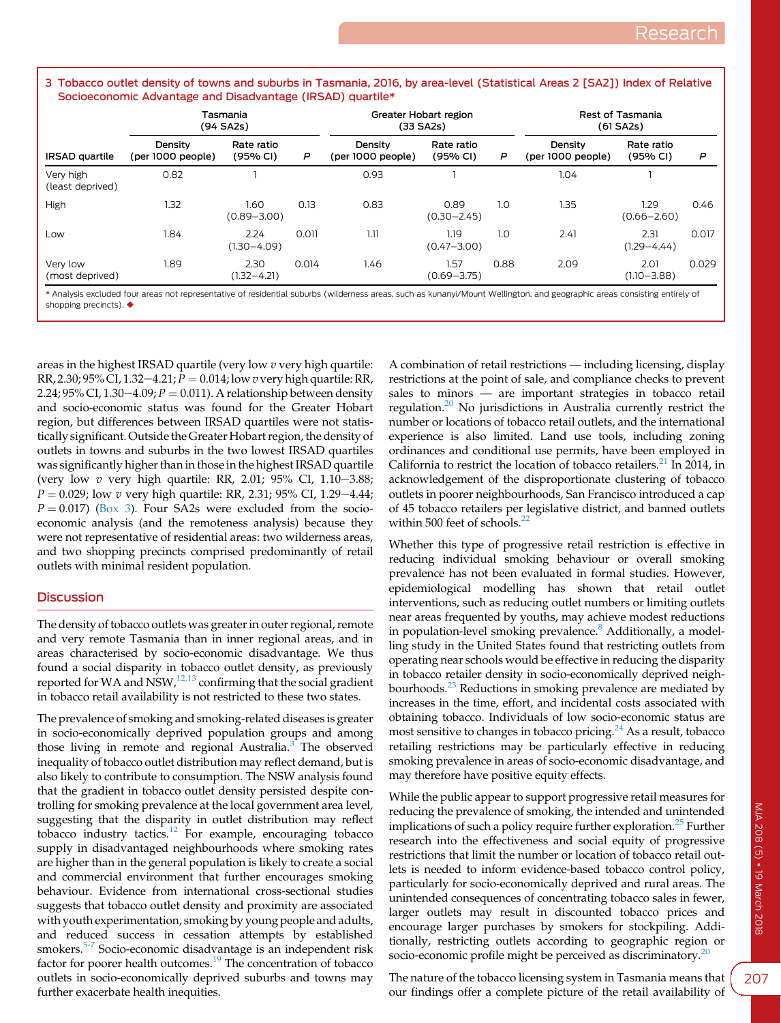#### 3 Tobacco outlet density of towns and suburbs in Tasmania, 2016, by area-level (Statistical Areas 2 [SA2]) Index of Relative Socioeconomic Advantage and Disadvantage (IRSAD) quartile\*

|                               | Tasmania<br>(94 SA2s)        |                         |       | Greater Hobart region<br>$(33$ SA2s) |                         | Rest of Tasmania<br>$(61$ SA2s) |                              |                         |       |
|-------------------------------|------------------------------|-------------------------|-------|--------------------------------------|-------------------------|---------------------------------|------------------------------|-------------------------|-------|
| <b>IRSAD</b> quartile         | Density<br>(per 1000 people) | Rate ratio<br>(95% CI)  | P     | Density<br>(per 1000 people)         | Rate ratio<br>(95% CI)  | P                               | Density<br>(per 1000 people) | Rate ratio<br>(95% CI)  | P     |
| Very high<br>(least deprived) | 0.82                         |                         |       | 0.93                                 |                         |                                 | 1.04                         |                         |       |
| High                          | 1.32                         | 1.60<br>$(0.89 - 3.00)$ | 0.13  | 0.83                                 | 0.89<br>$(0.30 - 2.45)$ | 1.0                             | 1.35                         | 1.29<br>$(0.66 - 2.60)$ | 0.46  |
| Low                           | 1.84                         | 2.24<br>$(1.30 - 4.09)$ | 0.011 | 1.11                                 | 1.19<br>$(0.47 - 3.00)$ | 1.0                             | 2.41                         | 2.31<br>$(1.29 - 4.44)$ | 0.017 |
| Very low<br>(most deprived)   | 1.89                         | 2.30<br>$(1.32 - 4.21)$ | 0.014 | 1.46                                 | 1.57<br>$(0.69 - 3.75)$ | 0.88                            | 2.09                         | 2.01<br>$(1.10 - 3.88)$ | 0.029 |

\* Analysis excluded four areas not representative of residential suburbs (wilderness areas, such as kunanyi/Mount Wellington, and geographic areas consisting entirely of shopping precincts).

areas in the highest IRSAD quartile (very low  $v$  very high quartile: RR, 2.30; 95% CI, 1.32-4.21;  $P = 0.014$ ; low v very high quartile: RR, 2.24; 95% CI, 1.30-4.09;  $P = 0.011$ ). A relationship between density and socio-economic status was found for the Greater Hobart region, but differences between IRSAD quartiles were not statistically significant. Outside the Greater Hobart region, the density of outlets in towns and suburbs in the two lowest IRSAD quartiles was significantly higher than in those in the highest IRSAD quartile (very low  $v$  very high quartile: RR, 2.01; 95% CI, 1.10-3.88;  $P = 0.029$ ; low v very high quartile: RR, 2.31; 95% CI, 1.29–4.44;  $P = 0.017$ ) (Box 3). Four SA2s were excluded from the socioeconomic analysis (and the remoteness analysis) because they were not representative of residential areas: two wilderness areas, and two shopping precincts comprised predominantly of retail outlets with minimal resident population.

# **Discussion**

The density of tobacco outlets was greater in outer regional, remote and very remote Tasmania than in inner regional areas, and in areas characterised by socio-economic disadvantage. We thus found a social disparity in tobacco outlet density, as previously reported for WA and NSW,<sup>[12,13](#page-3-0)</sup> confirming that the social gradient in tobacco retail availability is not restricted to these two states.

The prevalence of smoking and smoking-related diseases is greater in socio-economically deprived population groups and among those living in remote and regional Australia.<sup>[3](#page-3-0)</sup> The observed inequality of tobacco outlet distribution may reflect demand, but is also likely to contribute to consumption. The NSW analysis found that the gradient in tobacco outlet density persisted despite controlling for smoking prevalence at the local government area level, suggesting that the disparity in outlet distribution may reflect tobacco industry tactics.[12](#page-3-0) For example, encouraging tobacco supply in disadvantaged neighbourhoods where smoking rates are higher than in the general population is likely to create a social and commercial environment that further encourages smoking behaviour. Evidence from international cross-sectional studies suggests that tobacco outlet density and proximity are associated with youth experimentation, smoking by young people and adults, and reduced success in cessation attempts by established smokers.<sup>[5-7](#page-3-0)</sup> Socio-economic disadvantage is an independent risk factor for poorer health outcomes.<sup>[19](#page-3-0)</sup> The concentration of tobacco outlets in socio-economically deprived suburbs and towns may further exacerbate health inequities.

A combination of retail restrictions — including licensing, display restrictions at the point of sale, and compliance checks to prevent sales to minors — are important strategies in tobacco retail regulation.[20](#page-3-0) No jurisdictions in Australia currently restrict the number or locations of tobacco retail outlets, and the international experience is also limited. Land use tools, including zoning ordinances and conditional use permits, have been employed in California to restrict the location of tobacco retailers. $^{21}$  $^{21}$  $^{21}$  In 2014, in acknowledgement of the disproportionate clustering of tobacco outlets in poorer neighbourhoods, San Francisco introduced a cap of 45 tobacco retailers per legislative district, and banned outlets within 500 feet of schools. $22$ 

Whether this type of progressive retail restriction is effective in reducing individual smoking behaviour or overall smoking prevalence has not been evaluated in formal studies. However, epidemiological modelling has shown that retail outlet interventions, such as reducing outlet numbers or limiting outlets near areas frequented by youths, may achieve modest reductions in population-level smoking prevalence.<sup>[8](#page-3-0)</sup> Additionally, a modelling study in the United States found that restricting outlets from operating near schools would be effective in reducing the disparity in tobacco retailer density in socio-economically deprived neigh-bourhoods.<sup>[23](#page-3-0)</sup> Reductions in smoking prevalence are mediated by increases in the time, effort, and incidental costs associated with obtaining tobacco. Individuals of low socio-economic status are most sensitive to changes in tobacco pricing.<sup>[24](#page-3-0)</sup> As a result, tobacco retailing restrictions may be particularly effective in reducing smoking prevalence in areas of socio-economic disadvantage, and may therefore have positive equity effects.

While the public appear to support progressive retail measures for reducing the prevalence of smoking, the intended and unintended implications of such a policy require further exploration.<sup>[25](#page-3-0)</sup> Further research into the effectiveness and social equity of progressive restrictions that limit the number or location of tobacco retail outlets is needed to inform evidence-based tobacco control policy, particularly for socio-economically deprived and rural areas. The unintended consequences of concentrating tobacco sales in fewer, larger outlets may result in discounted tobacco prices and encourage larger purchases by smokers for stockpiling. Additionally, restricting outlets according to geographic region or socio-economic profile might be perceived as discriminatory.<sup>[20](#page-3-0)</sup>

The nature of the tobacco licensing system in Tasmania means that our findings offer a complete picture of the retail availability of